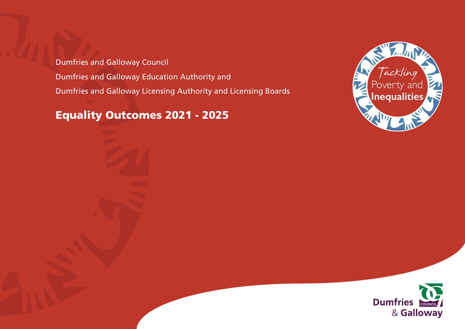Dumfries and Galloway Council Dumfries and Galloway Education Authority and Dumfries and Galloway Licensing Authority and Licensing Boards

Equality Outcomes 2021 - 2025



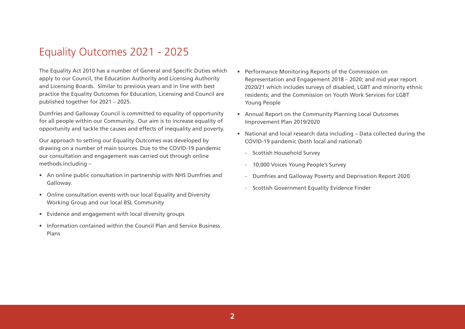## Equality Outcomes 2021 - 2025

The Equality Act 2010 has a number of General and Specific Duties which apply to our Council, the Education Authority and Licensing Authority and Licensing Boards. Similar to previous years and in line with best practice the Equality Outcomes for Education, Licensing and Council are published together for 2021 – 2025.

Dumfries and Galloway Council is committed to equality of opportunity for all people within our Community. Our aim is to increase equality of opportunity and tackle the causes and effects of inequality and poverty.

Our approach to setting our Equality Outcomes was developed by drawing on a number of main sources. Due to the COVID-19 pandemic our consultation and engagement was carried out through online methods including –

- An online public consultation in partnership with NHS Dumfries and Galloway.
- Online consultation events with our local Equality and Diversity Working Group and our local BSL Community
- Evidence and engagement with local diversity groups
- Information contained within the Council Plan and Service Business Plans
- Performance Monitoring Reports of the Commission on Representation and Engagement 2018 – 2020; and mid year report 2020/21 which includes surveys of disabled, LGBT and minority ethnic residents; and the Commission on Youth Work Services for LGBT Young People
- Annual Report on the Community Planning Local Outcomes Improvement Plan 2019/2020
- National and local research data including Data collected during the COVID-19 pandemic (both local and national)
	- Scottish Household Survey
	- 10,000 Voices Young People's Survey
	- Dumfries and Galloway Poverty and Deprivation Report 2020
	- Scottish Government Equality Evidence Finder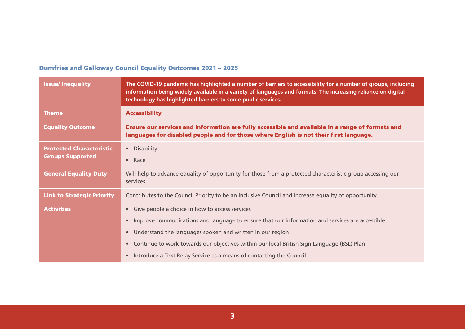## Dumfries and Galloway Council Equality Outcomes 2021 – 2025

| <b>Issue/Inequality</b>           | The COVID-19 pandemic has highlighted a number of barriers to accessibility for a number of groups, including<br>information being widely available in a variety of languages and formats. The increasing reliance on digital<br>technology has highlighted barriers to some public services. |
|-----------------------------------|-----------------------------------------------------------------------------------------------------------------------------------------------------------------------------------------------------------------------------------------------------------------------------------------------|
| <b>Theme</b>                      | <b>Accessibility</b>                                                                                                                                                                                                                                                                          |
| <b>Equality Outcome</b>           | Ensure our services and information are fully accessible and available in a range of formats and<br>languages for disabled people and for those where English is not their first language.                                                                                                    |
| <b>Protected Characteristic</b>   | • Disability                                                                                                                                                                                                                                                                                  |
| <b>Groups Supported</b>           | $\bullet$ Race                                                                                                                                                                                                                                                                                |
| <b>General Equality Duty</b>      | Will help to advance equality of opportunity for those from a protected characteristic group accessing our<br>services.                                                                                                                                                                       |
| <b>Link to Strategic Priority</b> | Contributes to the Council Priority to be an inclusive Council and increase equality of opportunity.                                                                                                                                                                                          |
| <b>Activities</b>                 | Give people a choice in how to access services<br>$\bullet$                                                                                                                                                                                                                                   |
|                                   | Improve communications and language to ensure that our information and services are accessible<br>$\bullet$                                                                                                                                                                                   |
|                                   | Understand the languages spoken and written in our region<br>$\bullet$                                                                                                                                                                                                                        |
|                                   | Continue to work towards our objectives within our local British Sign Language (BSL) Plan                                                                                                                                                                                                     |
|                                   | Introduce a Text Relay Service as a means of contacting the Council<br>$\bullet$                                                                                                                                                                                                              |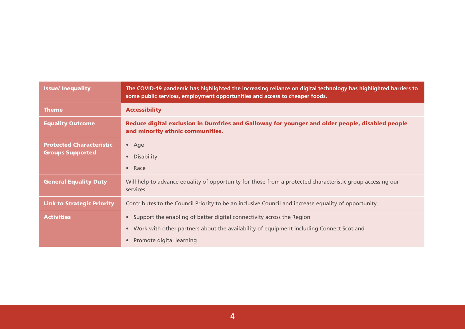| <b>Issue/Inequality</b>                                    | The COVID-19 pandemic has highlighted the increasing reliance on digital technology has highlighted barriers to<br>some public services, employment opportunities and access to cheaper foods.            |
|------------------------------------------------------------|-----------------------------------------------------------------------------------------------------------------------------------------------------------------------------------------------------------|
| <b>Theme</b>                                               | <b>Accessibility</b>                                                                                                                                                                                      |
| <b>Equality Outcome</b>                                    | Reduce digital exclusion in Dumfries and Galloway for younger and older people, disabled people<br>and minority ethnic communities.                                                                       |
| <b>Protected Characteristic</b><br><b>Groups Supported</b> | $•$ Age<br><b>Disability</b><br>Race<br>$\bullet$                                                                                                                                                         |
| <b>General Equality Duty</b>                               | Will help to advance equality of opportunity for those from a protected characteristic group accessing our<br>services.                                                                                   |
| <b>Link to Strategic Priority</b>                          | Contributes to the Council Priority to be an inclusive Council and increase equality of opportunity.                                                                                                      |
| <b>Activities</b>                                          | Support the enabling of better digital connectivity across the Region<br>Work with other partners about the availability of equipment including Connect Scotland<br>$\bullet$<br>Promote digital learning |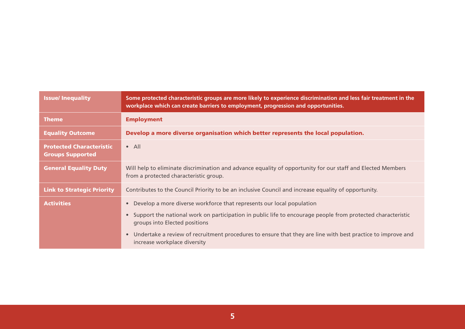| <b>Issue/Inequality</b>                                    | Some protected characteristic groups are more likely to experience discrimination and less fair treatment in the<br>workplace which can create barriers to employment, progression and opportunities. |
|------------------------------------------------------------|-------------------------------------------------------------------------------------------------------------------------------------------------------------------------------------------------------|
| <b>Theme</b>                                               | <b>Employment</b>                                                                                                                                                                                     |
| <b>Equality Outcome</b>                                    | Develop a more diverse organisation which better represents the local population.                                                                                                                     |
| <b>Protected Characteristic</b><br><b>Groups Supported</b> | $\bullet$ All                                                                                                                                                                                         |
| <b>General Equality Duty</b>                               | Will help to eliminate discrimination and advance equality of opportunity for our staff and Elected Members<br>from a protected characteristic group.                                                 |
| <b>Link to Strategic Priority</b>                          | Contributes to the Council Priority to be an inclusive Council and increase equality of opportunity.                                                                                                  |
| <b>Activities</b>                                          | Develop a more diverse workforce that represents our local population                                                                                                                                 |
|                                                            | Support the national work on participation in public life to encourage people from protected characteristic<br>groups into Elected positions                                                          |
|                                                            | Undertake a review of recruitment procedures to ensure that they are line with best practice to improve and<br>$\bullet$<br>increase workplace diversity                                              |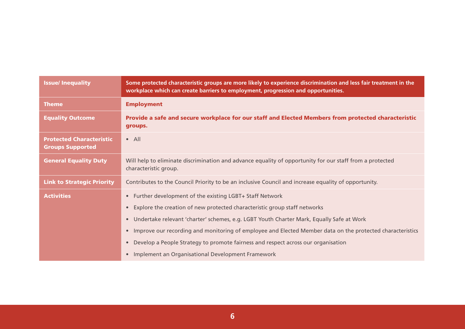| <b>Issue/Inequality</b>                                    | Some protected characteristic groups are more likely to experience discrimination and less fair treatment in the<br>workplace which can create barriers to employment, progression and opportunities. |
|------------------------------------------------------------|-------------------------------------------------------------------------------------------------------------------------------------------------------------------------------------------------------|
| <b>Theme</b>                                               | <b>Employment</b>                                                                                                                                                                                     |
| <b>Equality Outcome</b>                                    | Provide a safe and secure workplace for our staff and Elected Members from protected characteristic<br>groups.                                                                                        |
| <b>Protected Characteristic</b><br><b>Groups Supported</b> | $\bullet$ All                                                                                                                                                                                         |
| <b>General Equality Duty</b>                               | Will help to eliminate discrimination and advance equality of opportunity for our staff from a protected<br>characteristic group.                                                                     |
| <b>Link to Strategic Priority</b>                          | Contributes to the Council Priority to be an inclusive Council and increase equality of opportunity.                                                                                                  |
| <b>Activities</b>                                          | • Further development of the existing LGBT+ Staff Network                                                                                                                                             |
|                                                            | Explore the creation of new protected characteristic group staff networks<br>$\bullet$                                                                                                                |
|                                                            | Undertake relevant 'charter' schemes, e.g. LGBT Youth Charter Mark, Equally Safe at Work<br>$\bullet$                                                                                                 |
|                                                            | Improve our recording and monitoring of employee and Elected Member data on the protected characteristics<br>$\bullet$                                                                                |
|                                                            | Develop a People Strategy to promote fairness and respect across our organisation<br>$\bullet$                                                                                                        |
|                                                            | Implement an Organisational Development Framework<br>$\bullet$                                                                                                                                        |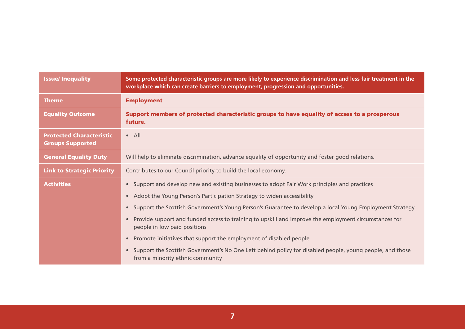| <b>Issue/Inequality</b>                                    | Some protected characteristic groups are more likely to experience discrimination and less fair treatment in the<br>workplace which can create barriers to employment, progression and opportunities. |
|------------------------------------------------------------|-------------------------------------------------------------------------------------------------------------------------------------------------------------------------------------------------------|
| <b>Theme</b>                                               | <b>Employment</b>                                                                                                                                                                                     |
| <b>Equality Outcome</b>                                    | Support members of protected characteristic groups to have equality of access to a prosperous<br>future.                                                                                              |
| <b>Protected Characteristic</b><br><b>Groups Supported</b> | $\bullet$ All                                                                                                                                                                                         |
| <b>General Equality Duty</b>                               | Will help to eliminate discrimination, advance equality of opportunity and foster good relations.                                                                                                     |
| <b>Link to Strategic Priority</b>                          | Contributes to our Council priority to build the local economy.                                                                                                                                       |
| <b>Activities</b>                                          | • Support and develop new and existing businesses to adopt Fair Work principles and practices                                                                                                         |
|                                                            | • Adopt the Young Person's Participation Strategy to widen accessibility                                                                                                                              |
|                                                            | • Support the Scottish Government's Young Person's Guarantee to develop a local Young Employment Strategy                                                                                             |
|                                                            | Provide support and funded access to training to upskill and improve the employment circumstances for<br>people in low paid positions                                                                 |
|                                                            | Promote initiatives that support the employment of disabled people                                                                                                                                    |
|                                                            | • Support the Scottish Government's No One Left behind policy for disabled people, young people, and those<br>from a minority ethnic community                                                        |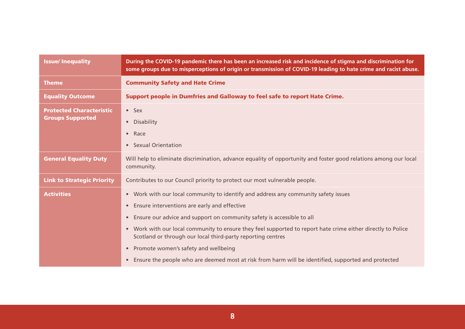| <b>Issue/Inequality</b>                                    | During the COVID-19 pandemic there has been an increased risk and incidence of stigma and discrimination for<br>some groups due to misperceptions of origin or transmission of COVID-19 leading to hate crime and racist abuse.                                                                                                                                                                                                                                                                                                                                           |
|------------------------------------------------------------|---------------------------------------------------------------------------------------------------------------------------------------------------------------------------------------------------------------------------------------------------------------------------------------------------------------------------------------------------------------------------------------------------------------------------------------------------------------------------------------------------------------------------------------------------------------------------|
| <b>Theme</b>                                               | <b>Community Safety and Hate Crime</b>                                                                                                                                                                                                                                                                                                                                                                                                                                                                                                                                    |
| <b>Equality Outcome</b>                                    | Support people in Dumfries and Galloway to feel safe to report Hate Crime.                                                                                                                                                                                                                                                                                                                                                                                                                                                                                                |
| <b>Protected Characteristic</b><br><b>Groups Supported</b> | $•$ Sex<br>Disability<br>$\bullet$<br>Race<br>$\bullet$<br><b>Sexual Orientation</b><br>$\bullet$                                                                                                                                                                                                                                                                                                                                                                                                                                                                         |
| <b>General Equality Duty</b>                               | Will help to eliminate discrimination, advance equality of opportunity and foster good relations among our local<br>community.                                                                                                                                                                                                                                                                                                                                                                                                                                            |
| <b>Link to Strategic Priority</b>                          | Contributes to our Council priority to protect our most vulnerable people.                                                                                                                                                                                                                                                                                                                                                                                                                                                                                                |
| <b>Activities</b>                                          | • Work with our local community to identify and address any community safety issues<br>• Ensure interventions are early and effective<br>Ensure our advice and support on community safety is accessible to all<br>$\bullet$<br>• Work with our local community to ensure they feel supported to report hate crime either directly to Police<br>Scotland or through our local third-party reporting centres<br>Promote women's safety and wellbeing<br>$\bullet$<br>• Ensure the people who are deemed most at risk from harm will be identified, supported and protected |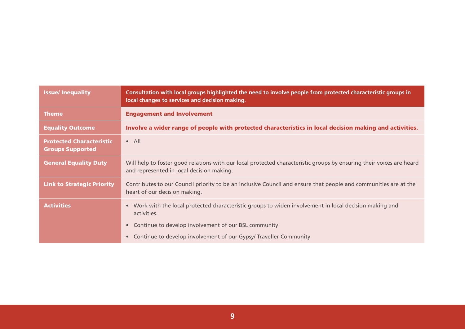| <b>Issue/Inequality</b>                                    | Consultation with local groups highlighted the need to involve people from protected characteristic groups in<br>local changes to services and decision making.                             |
|------------------------------------------------------------|---------------------------------------------------------------------------------------------------------------------------------------------------------------------------------------------|
| <b>Theme</b>                                               | <b>Engagement and Involvement</b>                                                                                                                                                           |
| <b>Equality Outcome</b>                                    | Involve a wider range of people with protected characteristics in local decision making and activities.                                                                                     |
| <b>Protected Characteristic</b><br><b>Groups Supported</b> | $\bullet$ All                                                                                                                                                                               |
| <b>General Equality Duty</b>                               | Will help to foster good relations with our local protected characteristic groups by ensuring their voices are heard<br>and represented in local decision making.                           |
| <b>Link to Strategic Priority</b>                          | Contributes to our Council priority to be an inclusive Council and ensure that people and communities are at the<br>heart of our decision making.                                           |
| <b>Activities</b>                                          | • Work with the local protected characteristic groups to widen involvement in local decision making and<br>activities.<br>Continue to develop involvement of our BSL community<br>$\bullet$ |
|                                                            | Continue to develop involvement of our Gypsy/ Traveller Community<br>$\bullet$                                                                                                              |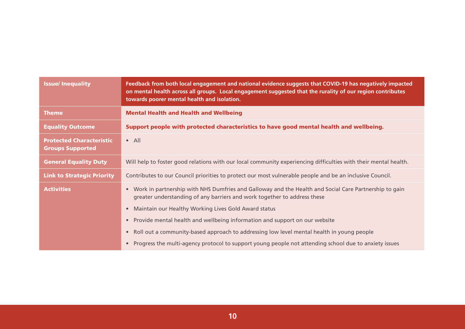| <b>Issue/Inequality</b>                                    | Feedback from both local engagement and national evidence suggests that COVID-19 has negatively impacted<br>on mental health across all groups. Local engagement suggested that the rurality of our region contributes<br>towards poorer mental health and isolation. |
|------------------------------------------------------------|-----------------------------------------------------------------------------------------------------------------------------------------------------------------------------------------------------------------------------------------------------------------------|
| <b>Theme</b>                                               | <b>Mental Health and Health and Wellbeing</b>                                                                                                                                                                                                                         |
| <b>Equality Outcome</b>                                    | Support people with protected characteristics to have good mental health and wellbeing.                                                                                                                                                                               |
| <b>Protected Characteristic</b><br><b>Groups Supported</b> | $\bullet$ All                                                                                                                                                                                                                                                         |
| <b>General Equality Duty</b>                               | Will help to foster good relations with our local community experiencing difficulties with their mental health.                                                                                                                                                       |
| <b>Link to Strategic Priority</b>                          | Contributes to our Council priorities to protect our most vulnerable people and be an inclusive Council.                                                                                                                                                              |
| <b>Activities</b>                                          | • Work in partnership with NHS Dumfries and Galloway and the Health and Social Care Partnership to gain<br>greater understanding of any barriers and work together to address these                                                                                   |
|                                                            | Maintain our Healthy Working Lives Gold Award status<br>$\bullet$                                                                                                                                                                                                     |
|                                                            | Provide mental health and wellbeing information and support on our website<br>$\bullet$                                                                                                                                                                               |
|                                                            | Roll out a community-based approach to addressing low level mental health in young people<br>$\bullet$                                                                                                                                                                |
|                                                            | Progress the multi-agency protocol to support young people not attending school due to anxiety issues                                                                                                                                                                 |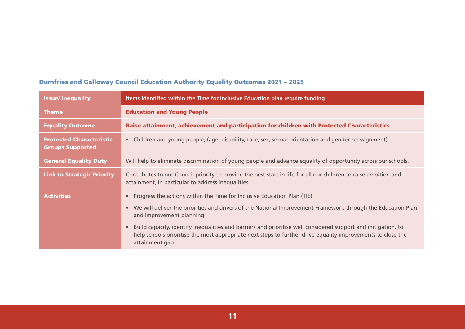| <b>Issue/Inequality</b>                                    | Items identified within the Time for Inclusive Education plan require funding                                                                                                                                                                               |
|------------------------------------------------------------|-------------------------------------------------------------------------------------------------------------------------------------------------------------------------------------------------------------------------------------------------------------|
| <b>Theme</b>                                               | <b>Education and Young People</b>                                                                                                                                                                                                                           |
| <b>Equality Outcome</b>                                    | Raise attainment, achievement and participation for children with Protected Characteristics.                                                                                                                                                                |
| <b>Protected Characteristic</b><br><b>Groups Supported</b> | Children and young people, (age, disability, race, sex, sexual orientation and gender reassignment)<br>$\bullet$                                                                                                                                            |
| <b>General Equality Duty</b>                               | Will help to eliminate discrimination of young people and advance equality of opportunity across our schools.                                                                                                                                               |
| <b>Link to Strategic Priority</b>                          | Contributes to our Council priority to provide the best start in life for all our children to raise ambition and<br>attainment, in particular to address inequalities.                                                                                      |
| <b>Activities</b>                                          | Progress the actions within the Time for Inclusive Education Plan (TIE)<br>$\bullet$                                                                                                                                                                        |
|                                                            | We will deliver the priorities and drivers of the National Improvement Framework through the Education Plan<br>$\bullet$<br>and improvement planning                                                                                                        |
|                                                            | Build capacity, identify inequalities and barriers and prioritise well considered support and mitigation, to<br>$\bullet$<br>help schools prioritise the most appropriate next steps to further drive equality improvements to close the<br>attainment gap. |

## Dumfries and Galloway Council Education Authority Equality Outcomes 2021 – 2025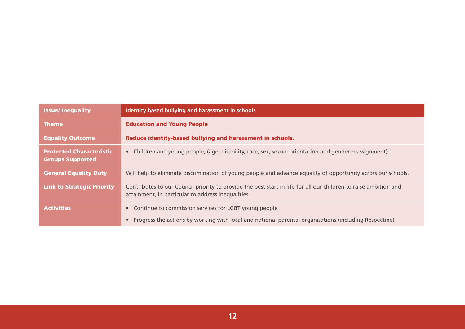| <b>Issue/Inequality</b>                                    | Identity based bullying and harassment in schools                                                                                                                          |
|------------------------------------------------------------|----------------------------------------------------------------------------------------------------------------------------------------------------------------------------|
| <b>Theme</b>                                               | <b>Education and Young People</b>                                                                                                                                          |
| <b>Equality Outcome</b>                                    | Reduce identity-based bullying and harassment in schools.                                                                                                                  |
| <b>Protected Characteristic</b><br><b>Groups Supported</b> | Children and young people, (age, disability, race, sex, sexual orientation and gender reassignment)<br>$\bullet$                                                           |
| <b>General Equality Duty</b>                               | Will help to eliminate discrimination of young people and advance equality of opportunity across our schools.                                                              |
| <b>Link to Strategic Priority</b>                          | Contributes to our Council priority to provide the best start in life for all our children to raise ambition and<br>attainment, in particular to address inequalities.     |
| <b>Activities</b>                                          | Continue to commission services for LGBT young people<br>$\bullet$<br>Progress the actions by working with local and national parental organisations (including Respectme) |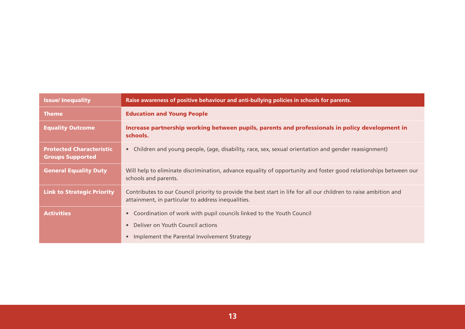| <b>Issue/Inequality</b>                                    | Raise awareness of positive behaviour and anti-bullying policies in schools for parents.                                                                               |
|------------------------------------------------------------|------------------------------------------------------------------------------------------------------------------------------------------------------------------------|
| <b>Theme</b>                                               | <b>Education and Young People</b>                                                                                                                                      |
| <b>Equality Outcome</b>                                    | Increase partnership working between pupils, parents and professionals in policy development in<br>schools.                                                            |
| <b>Protected Characteristic</b><br><b>Groups Supported</b> | Children and young people, (age, disability, race, sex, sexual orientation and gender reassignment)<br>$\bullet$                                                       |
| <b>General Equality Duty</b>                               | Will help to eliminate discrimination, advance equality of opportunity and foster good relationships between our<br>schools and parents.                               |
| <b>Link to Strategic Priority</b>                          | Contributes to our Council priority to provide the best start in life for all our children to raise ambition and<br>attainment, in particular to address inequalities. |
| <b>Activities</b>                                          | Coordination of work with pupil councils linked to the Youth Council<br>$\bullet$                                                                                      |
|                                                            | Deliver on Youth Council actions                                                                                                                                       |
|                                                            | Implement the Parental Involvement Strategy                                                                                                                            |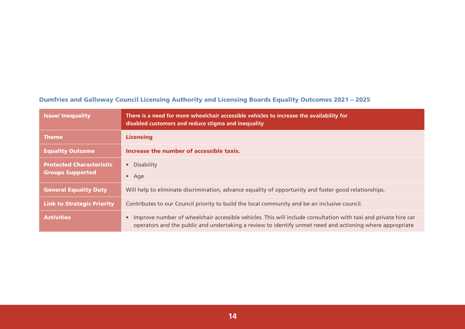## Dumfries and Galloway Council Licensing Authority and Licensing Boards Equality Outcomes 2021 – 2025

| <b>Issue/Inequality</b>                                    | There is a need for more wheelchair accessible vehicles to increase the availability for<br>disabled customers and reduce stigma and inequality                                                                                          |
|------------------------------------------------------------|------------------------------------------------------------------------------------------------------------------------------------------------------------------------------------------------------------------------------------------|
| <b>Theme</b>                                               | <b>Licensing</b>                                                                                                                                                                                                                         |
| <b>Equality Outcome</b>                                    | Increase the number of accessible taxis.                                                                                                                                                                                                 |
| <b>Protected Characteristic</b><br><b>Groups Supported</b> | Disability<br>$\bullet$<br>$\bullet$ Age                                                                                                                                                                                                 |
| <b>General Equality Duty</b>                               | Will help to eliminate discrimination, advance equality of opportunity and foster good relationships.                                                                                                                                    |
| <b>Link to Strategic Priority</b>                          | Contributes to our Council priority to build the local community and be an inclusive council.                                                                                                                                            |
| <b>Activities</b>                                          | Improve number of wheelchair accessible vehicles. This will include consultation with taxi and private hire car<br>$\bullet$<br>operators and the public and undertaking a review to identify unmet need and actioning where appropriate |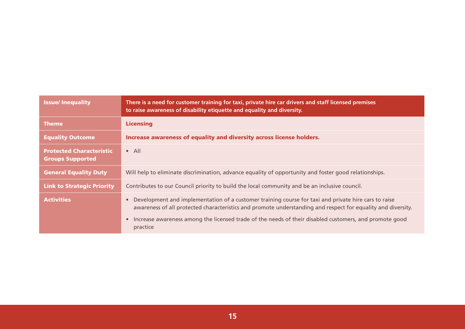| <b>Issue/Inequality</b>                                    | There is a need for customer training for taxi, private hire car drivers and staff licensed premises<br>to raise awareness of disability etiquette and equality and diversity.                                                                                                                                                                          |
|------------------------------------------------------------|---------------------------------------------------------------------------------------------------------------------------------------------------------------------------------------------------------------------------------------------------------------------------------------------------------------------------------------------------------|
| <b>Theme</b>                                               | <b>Licensing</b>                                                                                                                                                                                                                                                                                                                                        |
| <b>Equality Outcome</b>                                    | Increase awareness of equality and diversity across license holders.                                                                                                                                                                                                                                                                                    |
| <b>Protected Characteristic</b><br><b>Groups Supported</b> | $\bullet$ All                                                                                                                                                                                                                                                                                                                                           |
| <b>General Equality Duty</b>                               | Will help to eliminate discrimination, advance equality of opportunity and foster good relationships.                                                                                                                                                                                                                                                   |
| <b>Link to Strategic Priority</b>                          | Contributes to our Council priority to build the local community and be an inclusive council.                                                                                                                                                                                                                                                           |
| <b>Activities</b>                                          | Development and implementation of a customer training course for taxi and private hire cars to raise<br>awareness of all protected characteristics and promote understanding and respect for equality and diversity.<br>Increase awareness among the licensed trade of the needs of their disabled customers, and promote good<br>$\bullet$<br>practice |